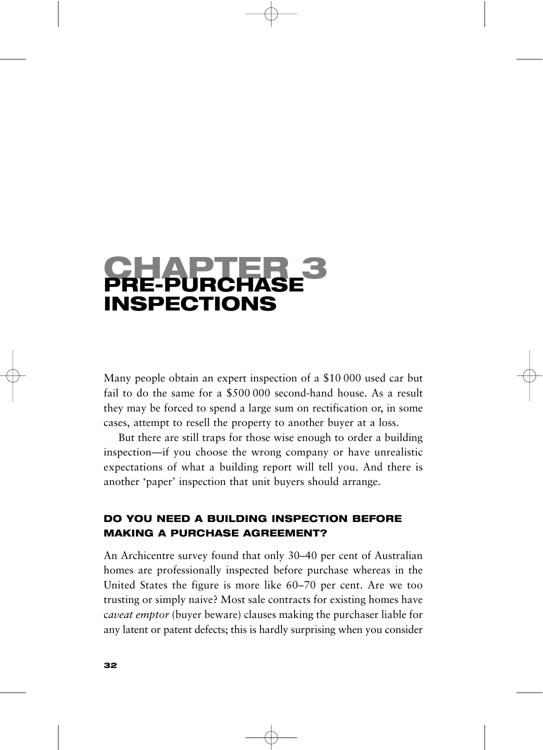# **CHAPTER 3 PRE-PURCHASE INSPECTIONS**

Many people obtain an expert inspection of a \$10 000 used car but fail to do the same for a \$500 000 second-hand house. As a result they may be forced to spend a large sum on rectification or, in some cases, attempt to resell the property to another buyer at a loss.

But there are still traps for those wise enough to order a building inspection—if you choose the wrong company or have unrealistic expectations of what a building report will tell you. And there is another 'paper' inspection that unit buyers should arrange.

# **DO YOU NEED A BUILDING INSPECTION BEFORE MAKING A PURCHASE AGREEMENT?**

An Archicentre survey found that only 30–40 per cent of Australian homes are professionally inspected before purchase whereas in the United States the figure is more like 60–70 per cent. Are we too trusting or simply naive? Most sale contracts for existing homes have c*aveat emptor* (buyer beware) clauses making the purchaser liable for any latent or patent defects; this is hardly surprising when you consider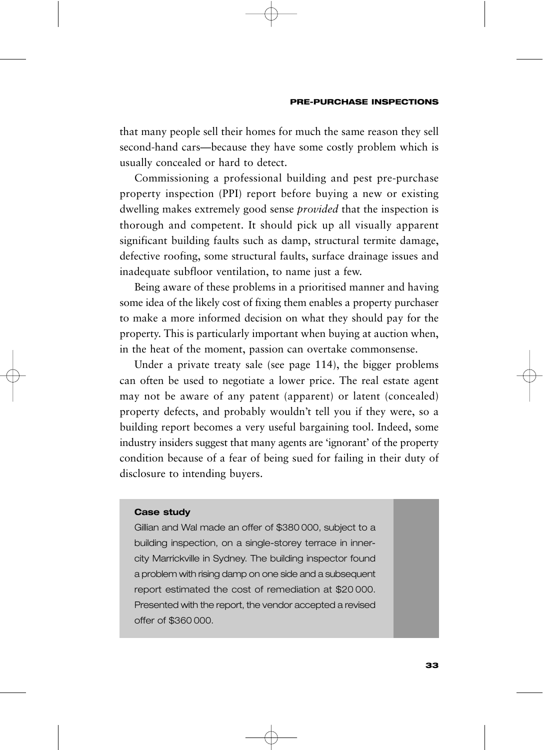that many people sell their homes for much the same reason they sell second-hand cars—because they have some costly problem which is usually concealed or hard to detect.

Commissioning a professional building and pest pre-purchase property inspection (PPI) report before buying a new or existing dwelling makes extremely good sense *provided* that the inspection is thorough and competent. It should pick up all visually apparent significant building faults such as damp, structural termite damage, defective roofing, some structural faults, surface drainage issues and inadequate subfloor ventilation, to name just a few.

Being aware of these problems in a prioritised manner and having some idea of the likely cost of fixing them enables a property purchaser to make a more informed decision on what they should pay for the property. This is particularly important when buying at auction when, in the heat of the moment, passion can overtake commonsense.

Under a private treaty sale (see page 114), the bigger problems can often be used to negotiate a lower price. The real estate agent may not be aware of any patent (apparent) or latent (concealed) property defects, and probably wouldn't tell you if they were, so a building report becomes a very useful bargaining tool. Indeed, some industry insiders suggest that many agents are 'ignorant' of the property condition because of a fear of being sued for failing in their duty of disclosure to intending buyers.

## **Case study**

Gillian and Wal made an offer of \$380 000, subject to a building inspection, on a single-storey terrace in innercity Marrickville in Sydney. The building inspector found a problem with rising damp on one side and a subsequent report estimated the cost of remediation at \$20 000. Presented with the report, the vendor accepted a revised offer of \$360 000.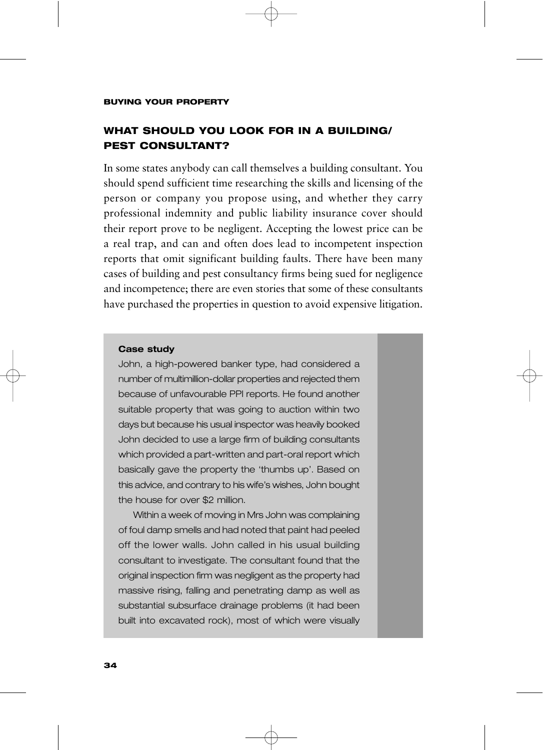# **WHAT SHOULD YOU LOOK FOR IN A BUILDING/ PEST CONSULTANT?**

In some states anybody can call themselves a building consultant. You should spend sufficient time researching the skills and licensing of the person or company you propose using, and whether they carry professional indemnity and public liability insurance cover should their report prove to be negligent. Accepting the lowest price can be a real trap, and can and often does lead to incompetent inspection reports that omit significant building faults. There have been many cases of building and pest consultancy firms being sued for negligence and incompetence; there are even stories that some of these consultants have purchased the properties in question to avoid expensive litigation.

## **Case study**

John, a high-powered banker type, had considered a number of multimillion-dollar properties and rejected them because of unfavourable PPI reports. He found another suitable property that was going to auction within two days but because his usual inspector was heavily booked John decided to use a large firm of building consultants which provided a part-written and part-oral report which basically gave the property the 'thumbs up'. Based on this advice, and contrary to his wife's wishes, John bought the house for over \$2 million.

Within a week of moving in Mrs John was complaining of foul damp smells and had noted that paint had peeled off the lower walls. John called in his usual building consultant to investigate. The consultant found that the original inspection firm was negligent as the property had massive rising, falling and penetrating damp as well as substantial subsurface drainage problems (it had been built into excavated rock), most of which were visually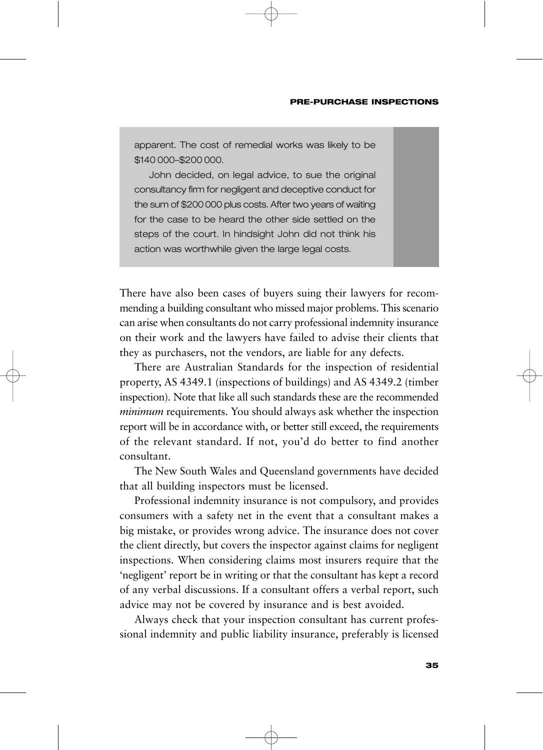apparent. The cost of remedial works was likely to be \$140 000–\$200 000.

John decided, on legal advice, to sue the original consultancy firm for negligent and deceptive conduct for the sum of \$200 000 plus costs. After two years of waiting for the case to be heard the other side settled on the steps of the court. In hindsight John did not think his action was worthwhile given the large legal costs.

There have also been cases of buyers suing their lawyers for recommending a building consultant who missed major problems. This scenario can arise when consultants do not carry professional indemnity insurance on their work and the lawyers have failed to advise their clients that they as purchasers, not the vendors, are liable for any defects.

There are Australian Standards for the inspection of residential property, AS 4349.1 (inspections of buildings) and AS 4349.2 (timber inspection). Note that like all such standards these are the recommended *minimum* requirements. You should always ask whether the inspection report will be in accordance with, or better still exceed, the requirements of the relevant standard. If not, you'd do better to find another consultant.

The New South Wales and Queensland governments have decided that all building inspectors must be licensed.

Professional indemnity insurance is not compulsory, and provides consumers with a safety net in the event that a consultant makes a big mistake, or provides wrong advice. The insurance does not cover the client directly, but covers the inspector against claims for negligent inspections. When considering claims most insurers require that the 'negligent' report be in writing or that the consultant has kept a record of any verbal discussions. If a consultant offers a verbal report, such advice may not be covered by insurance and is best avoided.

Always check that your inspection consultant has current professional indemnity and public liability insurance, preferably is licensed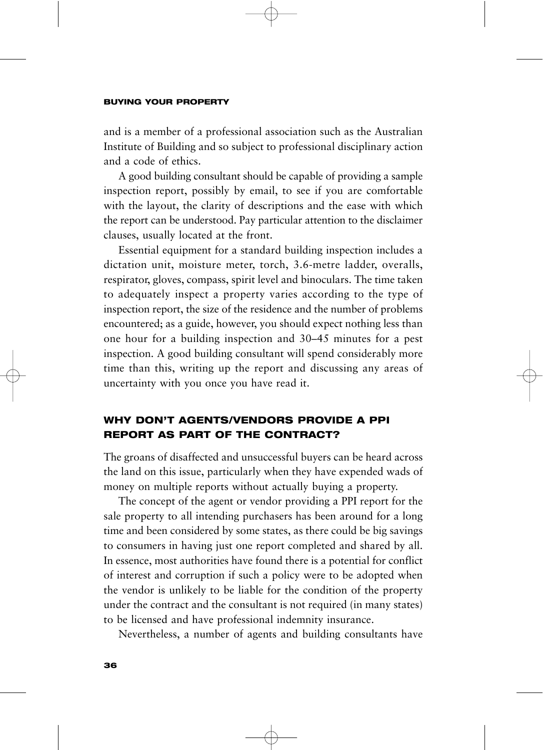and is a member of a professional association such as the Australian Institute of Building and so subject to professional disciplinary action and a code of ethics.

A good building consultant should be capable of providing a sample inspection report, possibly by email, to see if you are comfortable with the layout, the clarity of descriptions and the ease with which the report can be understood. Pay particular attention to the disclaimer clauses, usually located at the front.

Essential equipment for a standard building inspection includes a dictation unit, moisture meter, torch, 3.6-metre ladder, overalls, respirator, gloves, compass, spirit level and binoculars. The time taken to adequately inspect a property varies according to the type of inspection report, the size of the residence and the number of problems encountered; as a guide, however, you should expect nothing less than one hour for a building inspection and 30–45 minutes for a pest inspection. A good building consultant will spend considerably more time than this, writing up the report and discussing any areas of uncertainty with you once you have read it.

# **WHY DON'T AGENTS/VENDORS PROVIDE A PPI REPORT AS PART OF THE CONTRACT?**

The groans of disaffected and unsuccessful buyers can be heard across the land on this issue, particularly when they have expended wads of money on multiple reports without actually buying a property.

The concept of the agent or vendor providing a PPI report for the sale property to all intending purchasers has been around for a long time and been considered by some states, as there could be big savings to consumers in having just one report completed and shared by all. In essence, most authorities have found there is a potential for conflict of interest and corruption if such a policy were to be adopted when the vendor is unlikely to be liable for the condition of the property under the contract and the consultant is not required (in many states) to be licensed and have professional indemnity insurance.

Nevertheless, a number of agents and building consultants have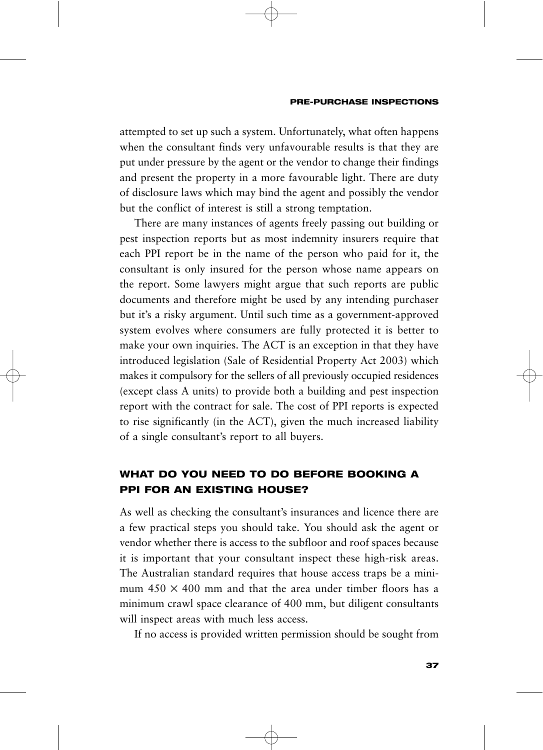attempted to set up such a system. Unfortunately, what often happens when the consultant finds very unfavourable results is that they are put under pressure by the agent or the vendor to change their findings and present the property in a more favourable light. There are duty of disclosure laws which may bind the agent and possibly the vendor but the conflict of interest is still a strong temptation.

There are many instances of agents freely passing out building or pest inspection reports but as most indemnity insurers require that each PPI report be in the name of the person who paid for it, the consultant is only insured for the person whose name appears on the report. Some lawyers might argue that such reports are public documents and therefore might be used by any intending purchaser but it's a risky argument. Until such time as a government-approved system evolves where consumers are fully protected it is better to make your own inquiries. The ACT is an exception in that they have introduced legislation (Sale of Residential Property Act 2003) which makes it compulsory for the sellers of all previously occupied residences (except class A units) to provide both a building and pest inspection report with the contract for sale. The cost of PPI reports is expected to rise significantly (in the ACT), given the much increased liability of a single consultant's report to all buyers.

# **WHAT DO YOU NEED TO DO BEFORE BOOKING A PPI FOR AN EXISTING HOUSE?**

As well as checking the consultant's insurances and licence there are a few practical steps you should take. You should ask the agent or vendor whether there is access to the subfloor and roof spaces because it is important that your consultant inspect these high-risk areas. The Australian standard requires that house access traps be a minimum  $450 \times 400$  mm and that the area under timber floors has a minimum crawl space clearance of 400 mm, but diligent consultants will inspect areas with much less access.

If no access is provided written permission should be sought from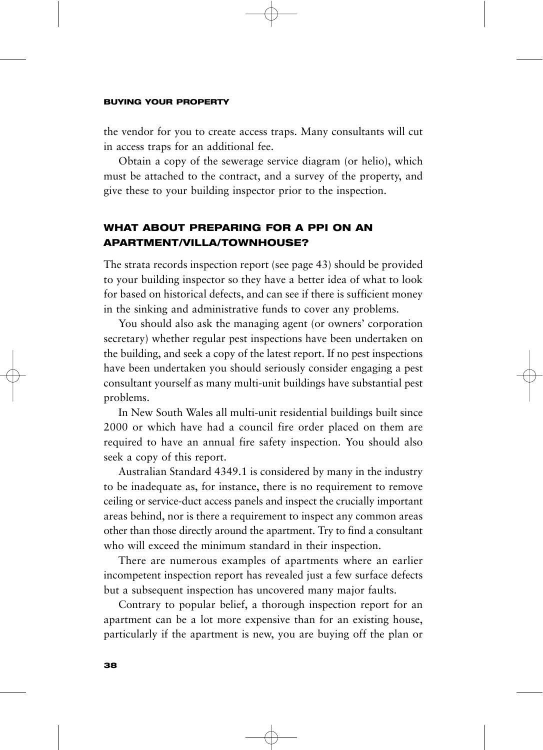the vendor for you to create access traps. Many consultants will cut in access traps for an additional fee.

Obtain a copy of the sewerage service diagram (or helio), which must be attached to the contract, and a survey of the property, and give these to your building inspector prior to the inspection.

# **WHAT ABOUT PREPARING FOR A PPI ON AN APARTMENT/VILLA/TOWNHOUSE?**

The strata records inspection report (see page 43) should be provided to your building inspector so they have a better idea of what to look for based on historical defects, and can see if there is sufficient money in the sinking and administrative funds to cover any problems.

You should also ask the managing agent (or owners' corporation secretary) whether regular pest inspections have been undertaken on the building, and seek a copy of the latest report. If no pest inspections have been undertaken you should seriously consider engaging a pest consultant yourself as many multi-unit buildings have substantial pest problems.

In New South Wales all multi-unit residential buildings built since 2000 or which have had a council fire order placed on them are required to have an annual fire safety inspection. You should also seek a copy of this report.

Australian Standard 4349.1 is considered by many in the industry to be inadequate as, for instance, there is no requirement to remove ceiling or service-duct access panels and inspect the crucially important areas behind, nor is there a requirement to inspect any common areas other than those directly around the apartment. Try to find a consultant who will exceed the minimum standard in their inspection.

There are numerous examples of apartments where an earlier incompetent inspection report has revealed just a few surface defects but a subsequent inspection has uncovered many major faults.

Contrary to popular belief, a thorough inspection report for an apartment can be a lot more expensive than for an existing house, particularly if the apartment is new, you are buying off the plan or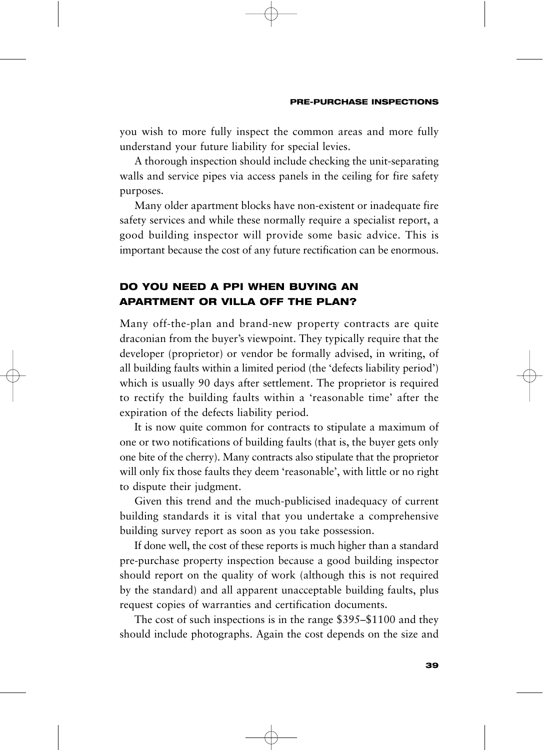you wish to more fully inspect the common areas and more fully understand your future liability for special levies.

A thorough inspection should include checking the unit-separating walls and service pipes via access panels in the ceiling for fire safety purposes.

Many older apartment blocks have non-existent or inadequate fire safety services and while these normally require a specialist report, a good building inspector will provide some basic advice. This is important because the cost of any future rectification can be enormous.

# **DO YOU NEED A PPI WHEN BUYING AN APARTMENT OR VILLA OFF THE PLAN?**

Many off-the-plan and brand-new property contracts are quite draconian from the buyer's viewpoint. They typically require that the developer (proprietor) or vendor be formally advised, in writing, of all building faults within a limited period (the 'defects liability period') which is usually 90 days after settlement. The proprietor is required to rectify the building faults within a 'reasonable time' after the expiration of the defects liability period.

It is now quite common for contracts to stipulate a maximum of one or two notifications of building faults (that is, the buyer gets only one bite of the cherry). Many contracts also stipulate that the proprietor will only fix those faults they deem 'reasonable', with little or no right to dispute their judgment.

Given this trend and the much-publicised inadequacy of current building standards it is vital that you undertake a comprehensive building survey report as soon as you take possession.

If done well, the cost of these reports is much higher than a standard pre-purchase property inspection because a good building inspector should report on the quality of work (although this is not required by the standard) and all apparent unacceptable building faults, plus request copies of warranties and certification documents.

The cost of such inspections is in the range \$395–\$1100 and they should include photographs. Again the cost depends on the size and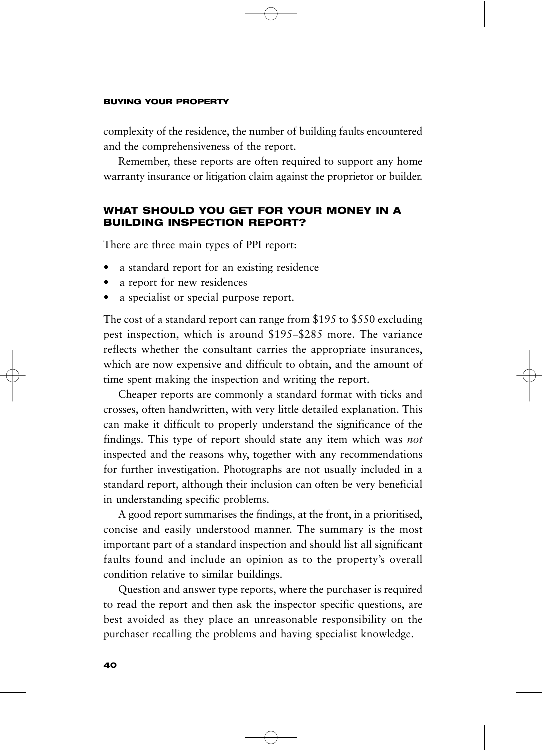complexity of the residence, the number of building faults encountered and the comprehensiveness of the report.

Remember, these reports are often required to support any home warranty insurance or litigation claim against the proprietor or builder.

## **WHAT SHOULD YOU GET FOR YOUR MONEY IN A BUILDING INSPECTION REPORT?**

There are three main types of PPI report:

- a standard report for an existing residence
- a report for new residences
- a specialist or special purpose report.

The cost of a standard report can range from \$195 to \$550 excluding pest inspection, which is around \$195–\$285 more. The variance reflects whether the consultant carries the appropriate insurances, which are now expensive and difficult to obtain, and the amount of time spent making the inspection and writing the report.

Cheaper reports are commonly a standard format with ticks and crosses, often handwritten, with very little detailed explanation. This can make it difficult to properly understand the significance of the findings. This type of report should state any item which was *not* inspected and the reasons why, together with any recommendations for further investigation. Photographs are not usually included in a standard report, although their inclusion can often be very beneficial in understanding specific problems.

A good report summarises the findings, at the front, in a prioritised, concise and easily understood manner. The summary is the most important part of a standard inspection and should list all significant faults found and include an opinion as to the property's overall condition relative to similar buildings.

Question and answer type reports, where the purchaser is required to read the report and then ask the inspector specific questions, are best avoided as they place an unreasonable responsibility on the purchaser recalling the problems and having specialist knowledge.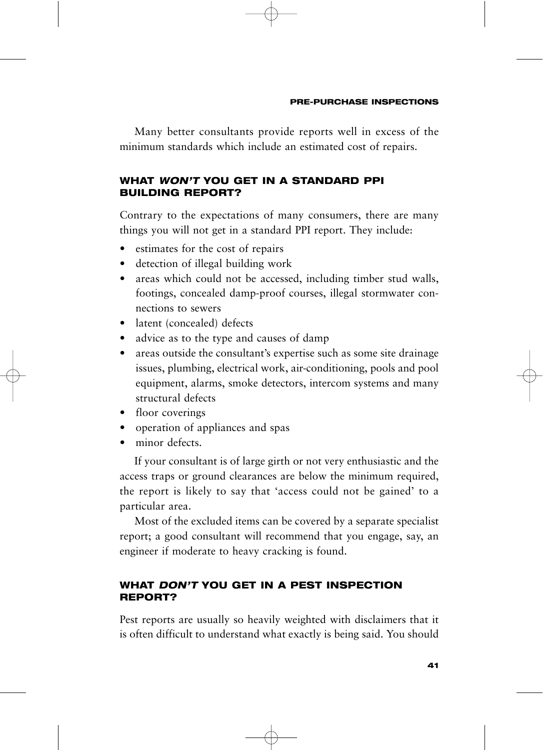Many better consultants provide reports well in excess of the minimum standards which include an estimated cost of repairs.

## **WHAT** *WON'T* **YOU GET IN A STANDARD PPI BUILDING REPORT?**

Contrary to the expectations of many consumers, there are many things you will not get in a standard PPI report. They include:

- estimates for the cost of repairs
- detection of illegal building work
- areas which could not be accessed, including timber stud walls, footings, concealed damp-proof courses, illegal stormwater connections to sewers
- latent (concealed) defects
- advice as to the type and causes of damp
- areas outside the consultant's expertise such as some site drainage issues, plumbing, electrical work, air-conditioning, pools and pool equipment, alarms, smoke detectors, intercom systems and many structural defects
- floor coverings
- operation of appliances and spas
- minor defects.

If your consultant is of large girth or not very enthusiastic and the access traps or ground clearances are below the minimum required, the report is likely to say that 'access could not be gained' to a particular area.

Most of the excluded items can be covered by a separate specialist report; a good consultant will recommend that you engage, say, an engineer if moderate to heavy cracking is found.

## **WHAT** *DON'T* **YOU GET IN A PEST INSPECTION REPORT?**

Pest reports are usually so heavily weighted with disclaimers that it is often difficult to understand what exactly is being said. You should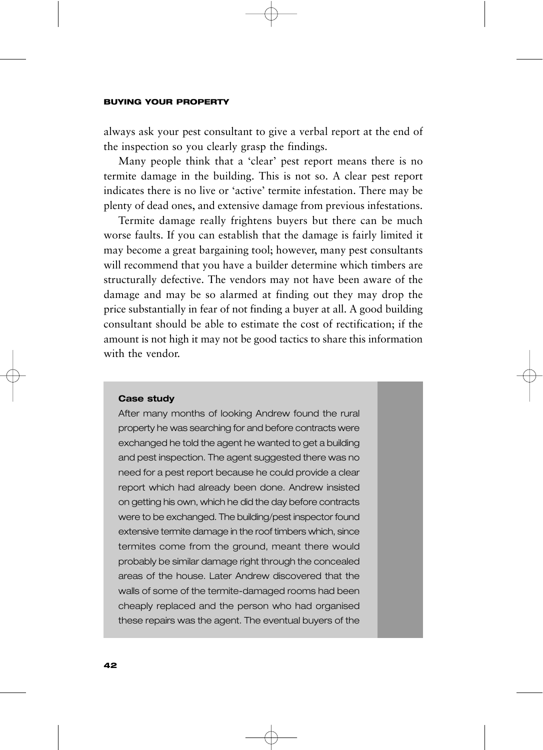always ask your pest consultant to give a verbal report at the end of the inspection so you clearly grasp the findings.

Many people think that a 'clear' pest report means there is no termite damage in the building. This is not so. A clear pest report indicates there is no live or 'active' termite infestation. There may be plenty of dead ones, and extensive damage from previous infestations.

Termite damage really frightens buyers but there can be much worse faults. If you can establish that the damage is fairly limited it may become a great bargaining tool; however, many pest consultants will recommend that you have a builder determine which timbers are structurally defective. The vendors may not have been aware of the damage and may be so alarmed at finding out they may drop the price substantially in fear of not finding a buyer at all. A good building consultant should be able to estimate the cost of rectification; if the amount is not high it may not be good tactics to share this information with the vendor.

## **Case study**

After many months of looking Andrew found the rural property he was searching for and before contracts were exchanged he told the agent he wanted to get a building and pest inspection. The agent suggested there was no need for a pest report because he could provide a clear report which had already been done. Andrew insisted on getting his own, which he did the day before contracts were to be exchanged. The building/pest inspector found extensive termite damage in the roof timbers which, since termites come from the ground, meant there would probably be similar damage right through the concealed areas of the house. Later Andrew discovered that the walls of some of the termite-damaged rooms had been cheaply replaced and the person who had organised these repairs was the agent. The eventual buyers of the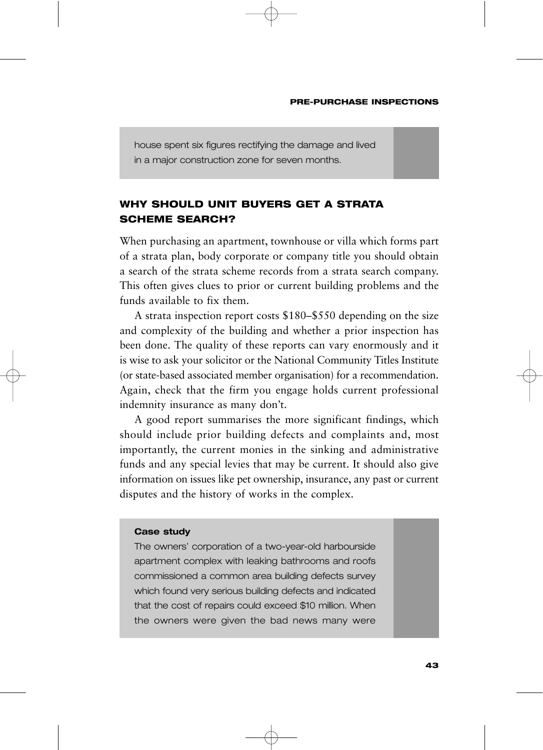house spent six figures rectifying the damage and lived in a major construction zone for seven months.

# **WHY SHOULD UNIT BUYERS GET A STRATA SCHEME SEARCH?**

When purchasing an apartment, townhouse or villa which forms part of a strata plan, body corporate or company title you should obtain a search of the strata scheme records from a strata search company. This often gives clues to prior or current building problems and the funds available to fix them.

A strata inspection report costs \$180–\$550 depending on the size and complexity of the building and whether a prior inspection has been done. The quality of these reports can vary enormously and it is wise to ask your solicitor or the National Community Titles Institute (or state-based associated member organisation) for a recommendation. Again, check that the firm you engage holds current professional indemnity insurance as many don't.

A good report summarises the more significant findings, which should include prior building defects and complaints and, most importantly, the current monies in the sinking and administrative funds and any special levies that may be current. It should also give information on issues like pet ownership, insurance, any past or current disputes and the history of works in the complex.

## **Case study**

The owners' corporation of a two-year-old harbourside apartment complex with leaking bathrooms and roofs commissioned a common area building defects survey which found very serious building defects and indicated that the cost of repairs could exceed \$10 million. When the owners were given the bad news many were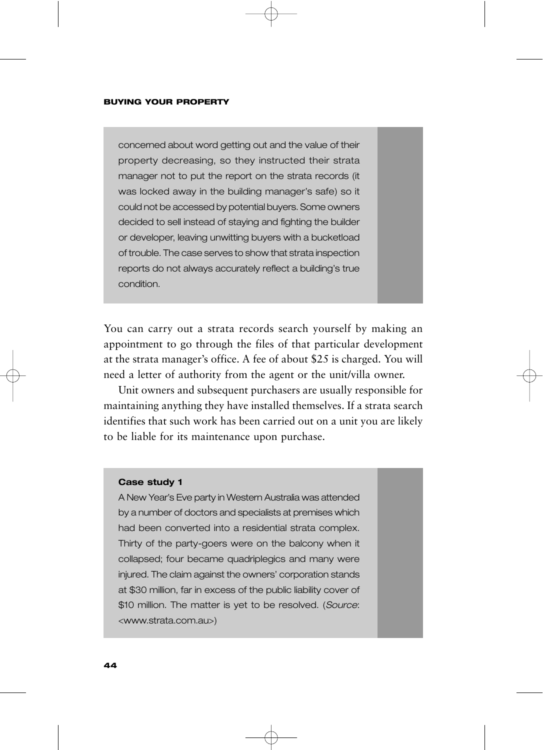concerned about word getting out and the value of their property decreasing, so they instructed their strata manager not to put the report on the strata records (it was locked away in the building manager's safe) so it could not be accessed by potential buyers. Some owners decided to sell instead of staying and fighting the builder or developer, leaving unwitting buyers with a bucketload of trouble. The case serves to show that strata inspection reports do not always accurately reflect a building's true condition.

You can carry out a strata records search yourself by making an appointment to go through the files of that particular development at the strata manager's office. A fee of about \$25 is charged. You will need a letter of authority from the agent or the unit/villa owner.

Unit owners and subsequent purchasers are usually responsible for maintaining anything they have installed themselves. If a strata search identifies that such work has been carried out on a unit you are likely to be liable for its maintenance upon purchase.

## **Case study 1**

A New Year's Eve party in Western Australia was attended by a number of doctors and specialists at premises which had been converted into a residential strata complex. Thirty of the party-goers were on the balcony when it collapsed; four became quadriplegics and many were injured. The claim against the owners' corporation stands at \$30 million, far in excess of the public liability cover of \$10 million. The matter is yet to be resolved. (*Source*: <www.strata.com.au>)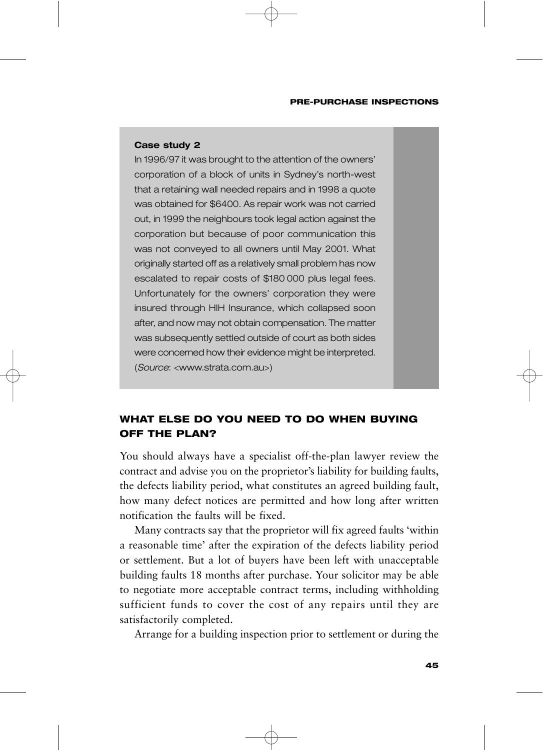## **Case study 2**

In 1996/97 it was brought to the attention of the owners' corporation of a block of units in Sydney's north-west that a retaining wall needed repairs and in 1998 a quote was obtained for \$6400. As repair work was not carried out, in 1999 the neighbours took legal action against the corporation but because of poor communication this was not conveyed to all owners until May 2001. What originally started off as a relatively small problem has now escalated to repair costs of \$180 000 plus legal fees. Unfortunately for the owners' corporation they were insured through HIH Insurance, which collapsed soon after, and now may not obtain compensation. The matter was subsequently settled outside of court as both sides were concerned how their evidence might be interpreted. (*Source*: <www.strata.com.au>)

# **WHAT ELSE DO YOU NEED TO DO WHEN BUYING OFF THE PLAN?**

You should always have a specialist off-the-plan lawyer review the contract and advise you on the proprietor's liability for building faults, the defects liability period, what constitutes an agreed building fault, how many defect notices are permitted and how long after written notification the faults will be fixed.

Many contracts say that the proprietor will fix agreed faults 'within a reasonable time' after the expiration of the defects liability period or settlement. But a lot of buyers have been left with unacceptable building faults 18 months after purchase. Your solicitor may be able to negotiate more acceptable contract terms, including withholding sufficient funds to cover the cost of any repairs until they are satisfactorily completed.

Arrange for a building inspection prior to settlement or during the